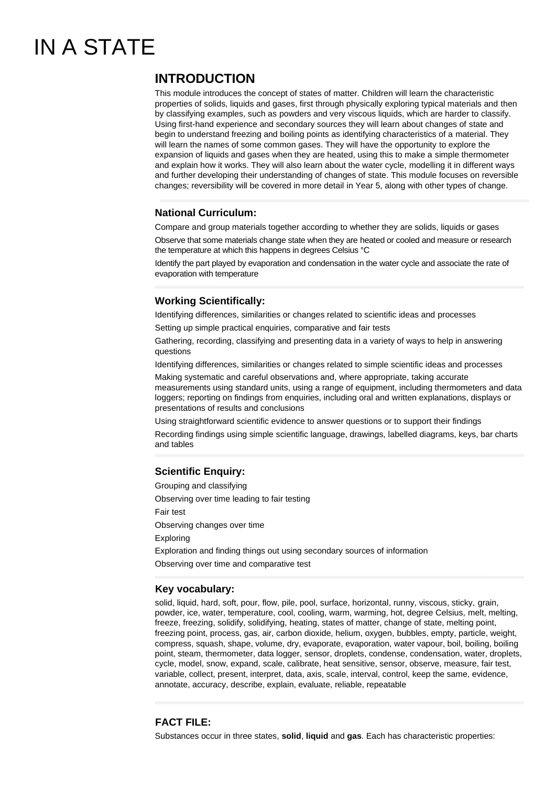# IN A STATE

## **INTRODUCTION**

This module introduces the concept of states of matter. Children will learn the characteristic properties of solids, liquids and gases, first through physically exploring typical materials and then by classifying examples, such as powders and very viscous liquids, which are harder to classify. Using first-hand experience and secondary sources they will learn about changes of state and begin to understand freezing and boiling points as identifying characteristics of a material. They will learn the names of some common gases. They will have the opportunity to explore the expansion of liquids and gases when they are heated, using this to make a simple thermometer and explain how it works. They will also learn about the water cycle, modelling it in different ways and further developing their understanding of changes of state. This module focuses on reversible changes; reversibility will be covered in more detail in Year 5, along with other types of change.

#### **National Curriculum:**

Compare and group materials together according to whether they are solids, liquids or gases

Observe that some materials change state when they are heated or cooled and measure or research the temperature at which this happens in degrees Celsius °C

Identify the part played by evaporation and condensation in the water cycle and associate the rate of evaporation with temperature

### **Working Scientifically:**

Identifying differences, similarities or changes related to scientific ideas and processes Setting up simple practical enquiries, comparative and fair tests

Gathering, recording, classifying and presenting data in a variety of ways to help in answering questions

Identifying differences, similarities or changes related to simple scientific ideas and processes

Making systematic and careful observations and, where appropriate, taking accurate measurements using standard units, using a range of equipment, including thermometers and data loggers; reporting on findings from enquiries, including oral and written explanations, displays or presentations of results and conclusions

Using straightforward scientific evidence to answer questions or to support their findings

Recording findings using simple scientific language, drawings, labelled diagrams, keys, bar charts and tables

### **Scientific Enquiry:**

Grouping and classifying Observing over time leading to fair testing Fair test Observing changes over time Exploring Exploration and finding things out using secondary sources of information Observing over time and comparative test

#### **Key vocabulary:**

solid, liquid, hard, soft, pour, flow, pile, pool, surface, horizontal, runny, viscous, sticky, grain, powder, ice, water, temperature, cool, cooling, warm, warming, hot, degree Celsius, melt, melting, freeze, freezing, solidify, solidifying, heating, states of matter, change of state, melting point, freezing point, process, gas, air, carbon dioxide, helium, oxygen, bubbles, empty, particle, weight, compress, squash, shape, volume, dry, evaporate, evaporation, water vapour, boil, boiling, boiling point, steam, thermometer, data logger, sensor, droplets, condense, condensation, water, droplets, cycle, model, snow, expand, scale, calibrate, heat sensitive, sensor, observe, measure, fair test, variable, collect, present, interpret, data, axis, scale, interval, control, keep the same, evidence, annotate, accuracy, describe, explain, evaluate, reliable, repeatable

#### **FACT FILE:**

Substances occur in three states, **solid**, **liquid** and **gas**. Each has characteristic properties: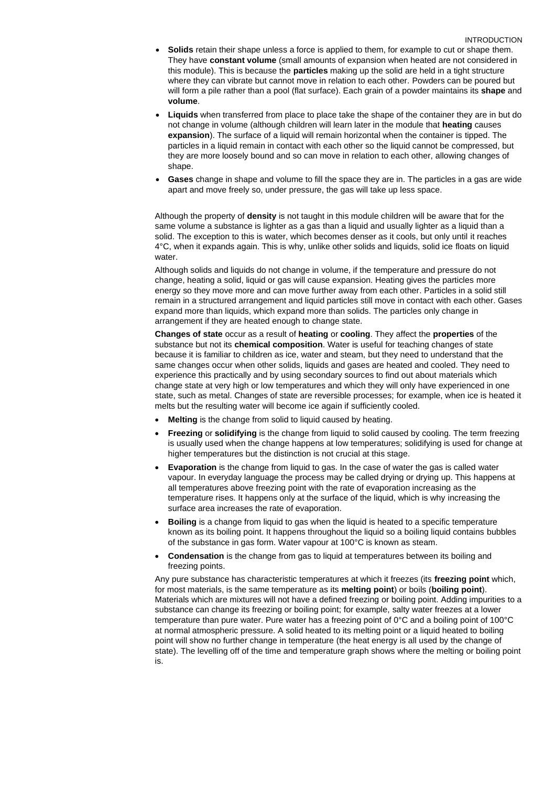#### INTRODUCTION

- **Solids** retain their shape unless a force is applied to them, for example to cut or shape them. They have **constant volume** (small amounts of expansion when heated are not considered in this module). This is because the **particles** making up the solid are held in a tight structure where they can vibrate but cannot move in relation to each other. Powders can be poured but will form a pile rather than a pool (flat surface). Each grain of a powder maintains its **shape** and **volume**.
- **Liquids** when transferred from place to place take the shape of the container they are in but do not change in volume (although children will learn later in the module that **heating** causes **expansion**). The surface of a liquid will remain horizontal when the container is tipped. The particles in a liquid remain in contact with each other so the liquid cannot be compressed, but they are more loosely bound and so can move in relation to each other, allowing changes of shape
- **Gases** change in shape and volume to fill the space they are in. The particles in a gas are wide apart and move freely so, under pressure, the gas will take up less space.

Although the property of **density** is not taught in this module children will be aware that for the same volume a substance is lighter as a gas than a liquid and usually lighter as a liquid than a solid. The exception to this is water, which becomes denser as it cools, but only until it reaches 4°C, when it expands again. This is why, unlike other solids and liquids, solid ice floats on liquid water

Although solids and liquids do not change in volume, if the temperature and pressure do not change, heating a solid, liquid or gas will cause expansion. Heating gives the particles more energy so they move more and can move further away from each other. Particles in a solid still remain in a structured arrangement and liquid particles still move in contact with each other. Gases expand more than liquids, which expand more than solids. The particles only change in arrangement if they are heated enough to change state.

**Changes of state** occur as a result of **heating** or **cooling**. They affect the **properties** of the substance but not its **chemical composition**. Water is useful for teaching changes of state because it is familiar to children as ice, water and steam, but they need to understand that the same changes occur when other solids, liquids and gases are heated and cooled. They need to experience this practically and by using secondary sources to find out about materials which change state at very high or low temperatures and which they will only have experienced in one state, such as metal. Changes of state are reversible processes; for example, when ice is heated it melts but the resulting water will become ice again if sufficiently cooled.

- **Melting** is the change from solid to liquid caused by heating.
- **Freezing** or **solidifying** is the change from liquid to solid caused by cooling. The term freezing is usually used when the change happens at low temperatures; solidifying is used for change at higher temperatures but the distinction is not crucial at this stage.
- **Evaporation** is the change from liquid to gas. In the case of water the gas is called water vapour. In everyday language the process may be called drying or drying up. This happens at all temperatures above freezing point with the rate of evaporation increasing as the temperature rises. It happens only at the surface of the liquid, which is why increasing the surface area increases the rate of evaporation.
- **Boiling** is a change from liquid to gas when the liquid is heated to a specific temperature known as its boiling point. It happens throughout the liquid so a boiling liquid contains bubbles of the substance in gas form. Water vapour at 100°C is known as steam.
- **Condensation** is the change from gas to liquid at temperatures between its boiling and freezing points.

Any pure substance has characteristic temperatures at which it freezes (its **freezing point** which, for most materials, is the same temperature as its **melting point**) or boils (**boiling point**). Materials which are mixtures will not have a defined freezing or boiling point. Adding impurities to a substance can change its freezing or boiling point; for example, salty water freezes at a lower temperature than pure water. Pure water has a freezing point of 0°C and a boiling point of 100°C at normal atmospheric pressure. A solid heated to its melting point or a liquid heated to boiling point will show no further change in temperature (the heat energy is all used by the change of state). The levelling off of the time and temperature graph shows where the melting or boiling point is.